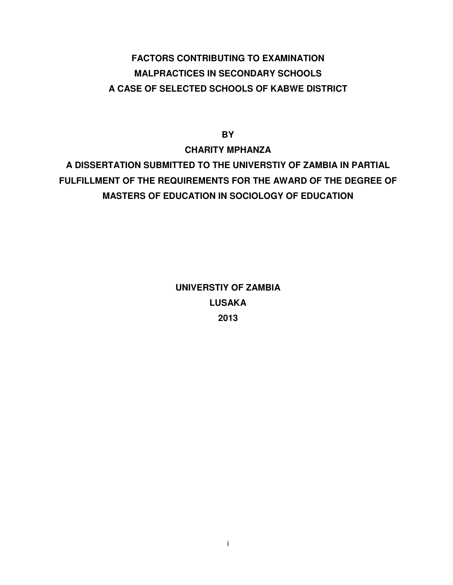# **FACTORS CONTRIBUTING TO EXAMINATION MALPRACTICES IN SECONDARY SCHOOLS A CASE OF SELECTED SCHOOLS OF KABWE DISTRICT**

**BY** 

**CHARITY MPHANZA A DISSERTATION SUBMITTED TO THE UNIVERSTIY OF ZAMBIA IN PARTIAL FULFILLMENT OF THE REQUIREMENTS FOR THE AWARD OF THE DEGREE OF MASTERS OF EDUCATION IN SOCIOLOGY OF EDUCATION** 

> **UNIVERSTIY OF ZAMBIA LUSAKA 2013**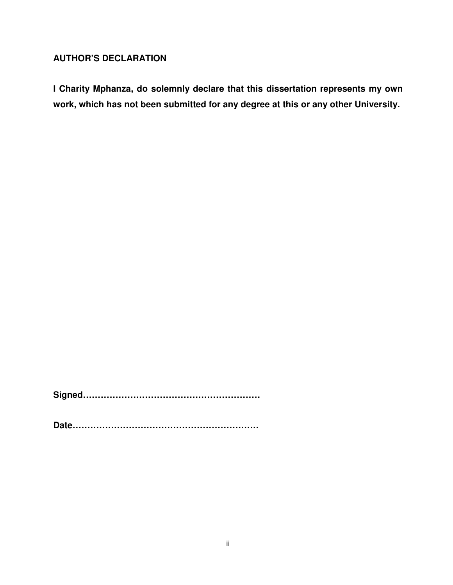## **AUTHOR'S DECLARATION**

**I Charity Mphanza, do solemnly declare that this dissertation represents my own work, which has not been submitted for any degree at this or any other University.** 

**Signed……………………………………………………** 

**Date………………………………………………………**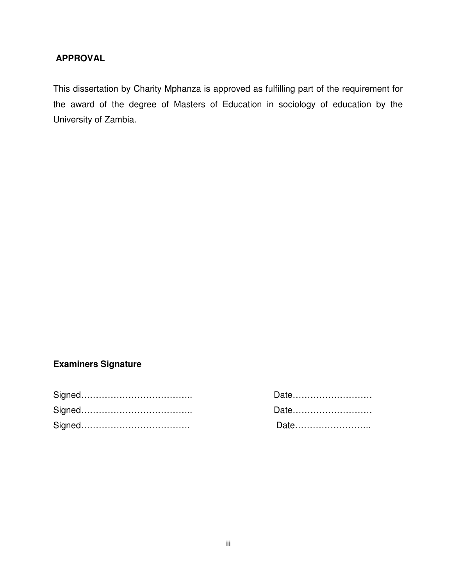#### **APPROVAL**

This dissertation by Charity Mphanza is approved as fulfilling part of the requirement for the award of the degree of Masters of Education in sociology of education by the University of Zambia.

## **Examiners Signature**

| Date |
|------|
| Date |
| Date |

| Date |  |
|------|--|
| Date |  |
| Date |  |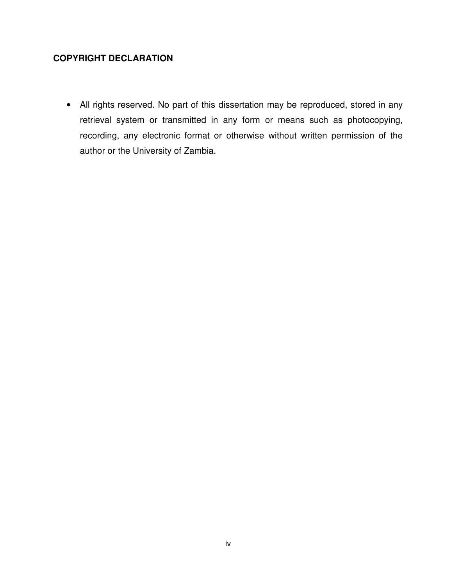## **COPYRIGHT DECLARATION**

• All rights reserved. No part of this dissertation may be reproduced, stored in any retrieval system or transmitted in any form or means such as photocopying, recording, any electronic format or otherwise without written permission of the author or the University of Zambia.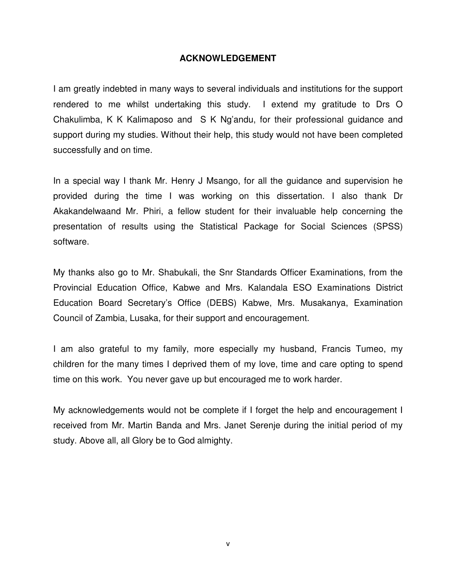#### **ACKNOWLEDGEMENT**

I am greatly indebted in many ways to several individuals and institutions for the support rendered to me whilst undertaking this study. I extend my gratitude to Drs O Chakulimba, K K Kalimaposo and S K Ng'andu, for their professional guidance and support during my studies. Without their help, this study would not have been completed successfully and on time.

In a special way I thank Mr. Henry J Msango, for all the guidance and supervision he provided during the time I was working on this dissertation. I also thank Dr Akakandelwaand Mr. Phiri, a fellow student for their invaluable help concerning the presentation of results using the Statistical Package for Social Sciences (SPSS) software.

My thanks also go to Mr. Shabukali, the Snr Standards Officer Examinations, from the Provincial Education Office, Kabwe and Mrs. Kalandala ESO Examinations District Education Board Secretary's Office (DEBS) Kabwe, Mrs. Musakanya, Examination Council of Zambia, Lusaka, for their support and encouragement.

I am also grateful to my family, more especially my husband, Francis Tumeo, my children for the many times I deprived them of my love, time and care opting to spend time on this work. You never gave up but encouraged me to work harder.

My acknowledgements would not be complete if I forget the help and encouragement I received from Mr. Martin Banda and Mrs. Janet Serenje during the initial period of my study. Above all, all Glory be to God almighty.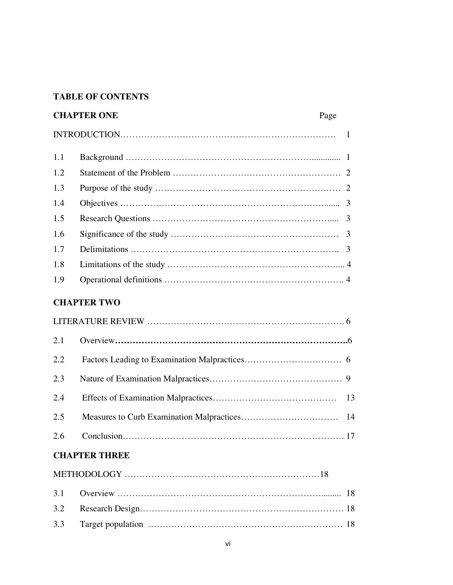#### **TABLE OF CONTENTS**

|     | <b>CHAPTER ONE</b> | Page |  |
|-----|--------------------|------|--|
|     |                    |      |  |
| 1.1 |                    |      |  |
| 1.2 |                    |      |  |
| 1.3 |                    |      |  |
| 1.4 |                    |      |  |
| 1.5 |                    |      |  |
| 1.6 |                    |      |  |
| 1.7 |                    |      |  |
| 1.8 |                    |      |  |
| 1.9 |                    |      |  |
|     |                    |      |  |

## **CHAPTER TWO**

| 2.1 |  |
|-----|--|
| 2.2 |  |
| 2.3 |  |
| 2.4 |  |
| 2.5 |  |
| 2.6 |  |

# **CHAPTER THREE**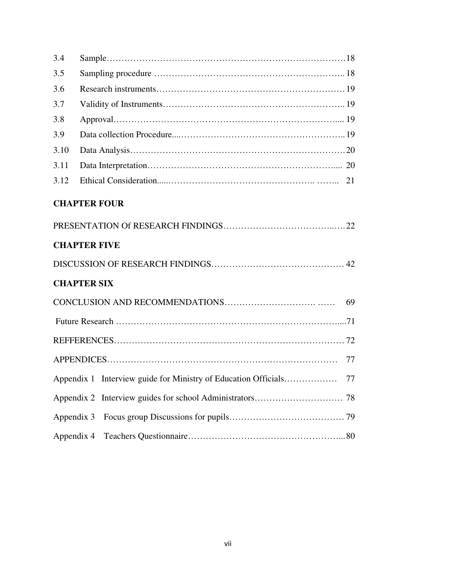| 3.4        |                     |    |
|------------|---------------------|----|
| 3.5        |                     |    |
| 3.6        |                     |    |
| 3.7        |                     |    |
| 3.8        |                     |    |
| 3.9        |                     |    |
| 3.10       |                     |    |
| 3.11       |                     |    |
| 3.12       |                     |    |
|            | <b>CHAPTER FOUR</b> |    |
|            |                     |    |
|            | <b>CHAPTER FIVE</b> |    |
|            |                     |    |
|            | <b>CHAPTER SIX</b>  |    |
|            |                     |    |
|            |                     |    |
|            |                     |    |
|            |                     | 77 |
|            |                     |    |
|            |                     |    |
| Appendix 3 |                     |    |
| Appendix 4 |                     |    |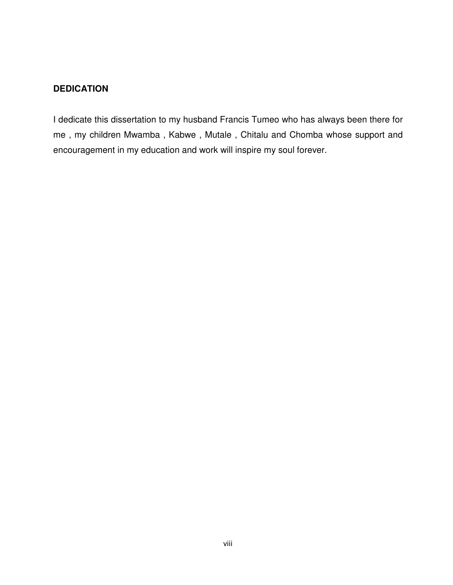#### **DEDICATION**

I dedicate this dissertation to my husband Francis Tumeo who has always been there for me , my children Mwamba , Kabwe , Mutale , Chitalu and Chomba whose support and encouragement in my education and work will inspire my soul forever.